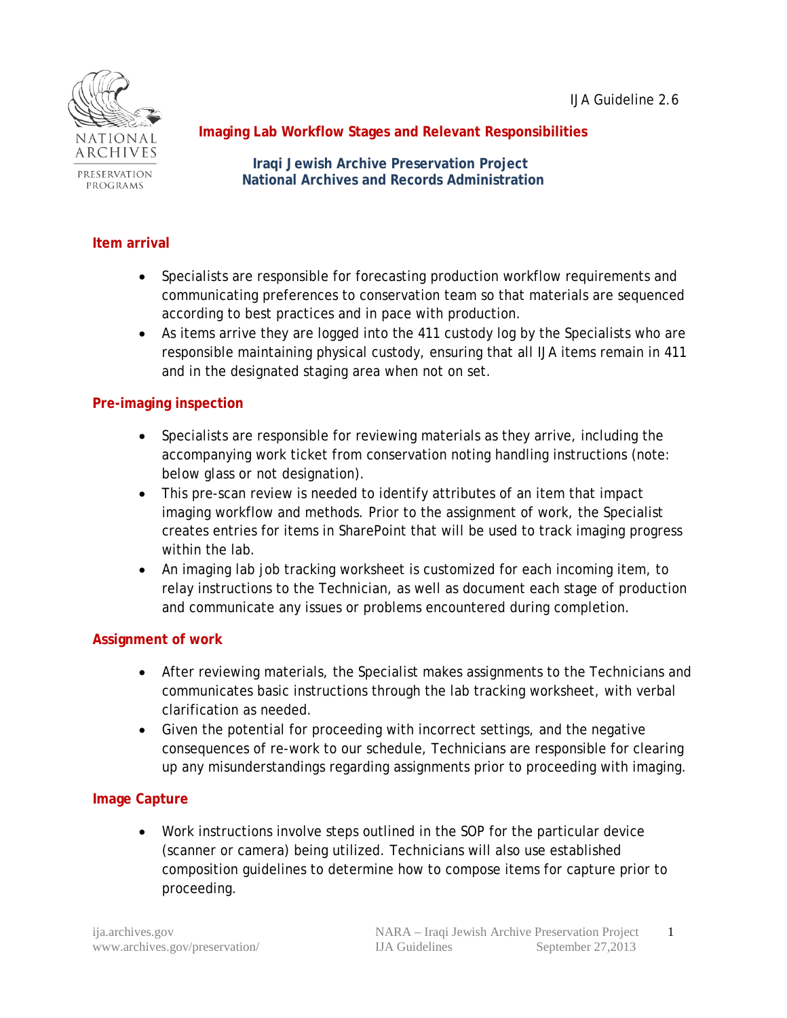IJA Guideline 2.6



PRESERVATION PROGRAMS

# **Imaging Lab Workflow Stages and Relevant Responsibilities**

 **Iraqi Jewish Archive Preservation Project National Archives and Records Administration**

#### **Item arrival**

- Specialists are responsible for forecasting production workflow requirements and communicating preferences to conservation team so that materials are sequenced according to best practices and in pace with production.
- As items arrive they are logged into the 411 custody log by the Specialists who are responsible maintaining physical custody, ensuring that all IJA items remain in 411 and in the designated staging area when not on set.

#### **Pre-imaging inspection**

- Specialists are responsible for reviewing materials as they arrive, including the accompanying work ticket from conservation noting handling instructions (note: *below glass or not* designation).
- This pre-scan review is needed to identify attributes of an item that impact imaging workflow and methods. Prior to the assignment of work, the Specialist creates entries for items in SharePoint that will be used to track imaging progress within the lab.
- An imaging lab job tracking worksheet is customized for each incoming item, to relay instructions to the Technician, as well as document each stage of production and communicate any issues or problems encountered during completion.

### **Assignment of work**

- After reviewing materials, the Specialist makes assignments to the Technicians and communicates basic instructions through the lab tracking worksheet, with verbal clarification as needed.
- Given the potential for proceeding with incorrect settings, and the negative consequences of re-work to our schedule, Technicians are responsible for clearing up any misunderstandings regarding assignments prior to proceeding with imaging.

### **Image Capture**

• Work instructions involve steps outlined in the SOP for the particular device (scanner or camera) being utilized. Technicians will also use established composition guidelines to determine how to compose items for capture prior to proceeding.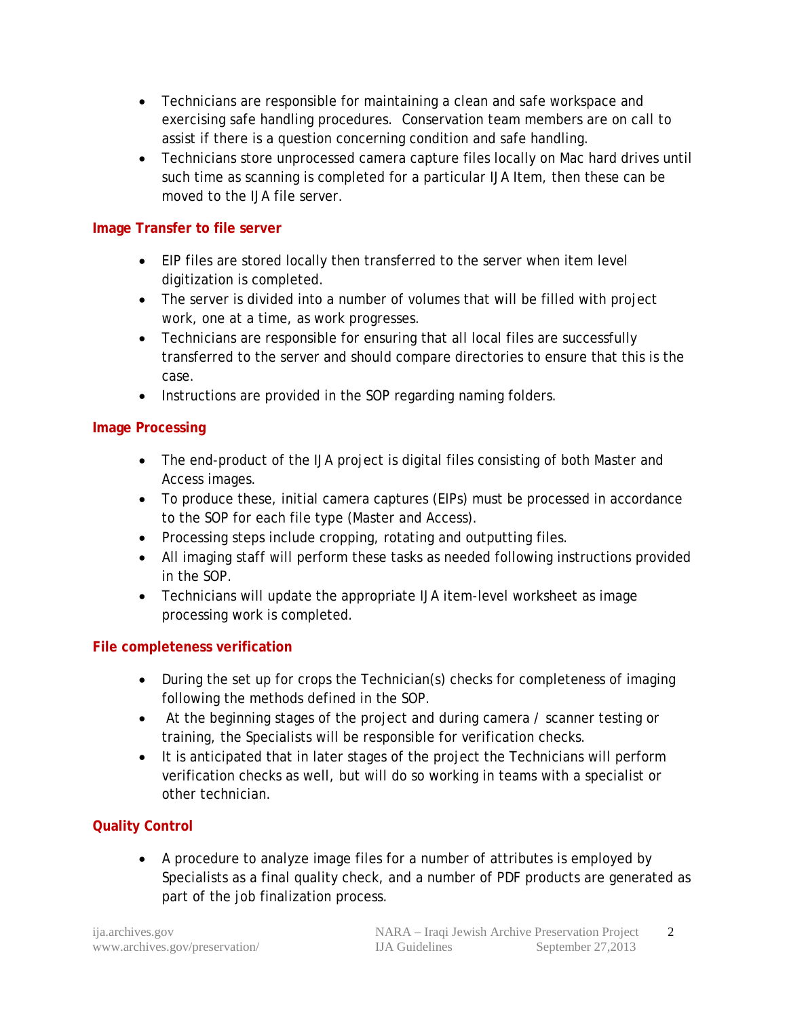- Technicians are responsible for maintaining a clean and safe workspace and exercising safe handling procedures. Conservation team members are on call to assist if there is a question concerning condition and safe handling.
- Technicians store unprocessed camera capture files locally on Mac hard drives until such time as scanning is completed for a particular IJA Item, then these can be moved to the IJA file server.

### **Image Transfer to file server**

- EIP files are stored locally then transferred to the server when item level digitization is completed.
- The server is divided into a number of volumes that will be filled with project work, one at a time, as work progresses.
- Technicians are responsible for ensuring that all local files are successfully transferred to the server and should compare directories to ensure that this is the case.
- Instructions are provided in the SOP regarding naming folders.

#### **Image Processing**

- The end-product of the IJA project is digital files consisting of both Master and Access images.
- To produce these, initial camera captures (EIPs) must be processed in accordance to the SOP for each file type (Master and Access).
- Processing steps include cropping, rotating and outputting files.
- All imaging staff will perform these tasks as needed following instructions provided in the SOP.
- Technicians will update the appropriate IJA item-level worksheet as image processing work is completed.

### **File completeness verification**

- During the set up for crops the Technician(s) checks for completeness of imaging following the methods defined in the SOP.
- At the beginning stages of the project and during camera / scanner testing or training, the Specialists will be responsible for verification checks.
- It is anticipated that in later stages of the project the Technicians will perform verification checks as well, but will do so working in teams with a specialist or other technician.

### **Quality Control**

• A procedure to analyze image files for a number of attributes is employed by Specialists as a final quality check, and a number of PDF products are generated as part of the job finalization process.